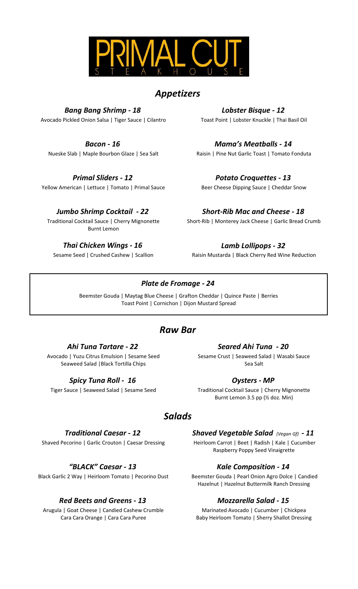

# *Appetizers*

*Bang Bang Shrimp - 18 Lobster Bisque - 12* Avocado Pickled Onion Salsa | Tiger Sauce | Cilantro Toast Point | Lobster Knuckle | Thai Basil Oil

### *Primal Sliders - 12 Potato Croquettes - 13*

Yellow American | Lettuce | Tomato | Primal Sauce Beer Cheese Dipping Sauce | Cheddar Snow

Traditional Cocktail Sauce | Cherry Mignonette Burnt Lemon

*Thai Chicken Wings - 16 Lamb Lollipops - 32*

*Bacon - 16 Mama's Meatballs - 14* Nueske Slab | Maple Bourbon Glaze | Sea Salt Raisin | Pine Nut Garlic Toast | Tomato Fonduta

*Jumbo Shrimp Cocktail - 22 Short-Rib Mac and Cheese - 18* Short-Rib | Monterey Jack Cheese | Garlic Bread Crumb

Sesame Seed | Crushed Cashew | Scallion Raisin Mustarda | Black Cherry Red Wine Reduction

### *Plate de Fromage - 24*

Beemster Gouda | Maytag Blue Cheese | Grafton Cheddar | Quince Paste | Berries Toast Point | Cornichon | Dijon Mustard Spread

# *Raw Bar*

Avocado | Yuzu Citrus Emulsion | Sesame Seed Seaweed Salad |Black Tortilla Chips

### *Spicy Tuna Roll - 16 Oysters - MP*

### *Ahi Tuna Tartare - 22 Seared Ahi Tuna - 20*

Sesame Crust | Seaweed Salad | Wasabi Sauce Sea Salt

Tiger Sauce | Seaweed Salad | Sesame Seed Traditional Cocktail Sauce | Cherry Mignonette Burnt Lemon 3.5 pp (½ doz. Min)

## *Salads*

Shaved Pecorino | Garlic Crouton | Caesar Dressing Heirloom Carrot | Beet | Radish | Kale | Cucumber

Black Garlic 2 Way | Heirloom Tomato | Pecorino Dust Beemster Gouda | Pearl Onion Agro Dolce | Candied

### *Red Beets and Greens - 13 Mozzarella Salad - 15*

Arugula | Goat Cheese | Candied Cashew Crumble Cara Cara Orange | Cara Cara Puree

*Traditional Caesar - 12 Shaved Vegetable Salad (Vegan Gf) - 11* Raspberry Poppy Seed Vinaigrette

### *"BLACK" Caesar - 13 Kale Composition - 14*

Hazelnut | Hazelnut Buttermilk Ranch Dressing

Marinated Avocado | Cucumber | Chickpea Baby Heirloom Tomato | Sherry Shallot Dressing